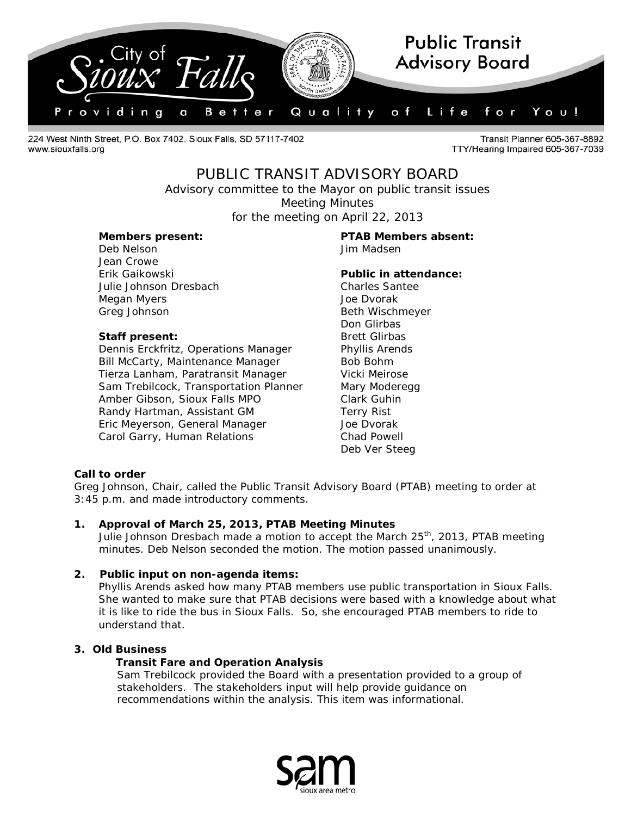

224 West Ninth Street, P.O. Box 7402, Sioux Falls, SD 57117-7402 www.siouxfalls.org

Transit Planner 605-367-8892 TTY/Hearing Impaired 605-367-7039

# PUBLIC TRANSIT ADVISORY BOARD

*Advisory committee to the Mayor on public transit issues* Meeting Minutes

for the meeting on April 22, 2013

Deb Nelson Jim Madsen Jean Crowe Erik Gaikowski **Public in attendance:** Julie Johnson Dresbach Charles Santee Megan Myers **Music Accord Accord Accord Accord Accord Accord Accord Accord Accord Accord Accord Accord Accord Accord Accord Accord Accord Accord Accord Accord Accord Accord Accord Accord Accord Accord Accord Accord Accord** Greg Johnson **Beth Wischmeyer** 

# **Staff present:** Brett Glirbas

Dennis Erckfritz, Operations Manager Phyllis Arends Bill McCarty, Maintenance Manager Bob Bohm Tierza Lanham, Paratransit Manager Vicki Meirose Sam Trebilcock, Transportation Planner Mary Moderegg Amber Gibson, Sioux Falls MPO Clark Guhin Randy Hartman, Assistant GM Terry Rist Eric Meyerson, General Manager **Friedman** Joe Dvorak Carol Garry, Human Relations Chad Powell

# **Members present: PTAB Members absent:**

Don Glirbas Deb Ver Steeg

### **Call to order**

Greg Johnson, Chair, called the Public Transit Advisory Board (PTAB) meeting to order at 3:45 p.m. and made introductory comments.

### **1. Approval of March 25, 2013, PTAB Meeting Minutes**

Julie Johnson Dresbach made a motion to accept the March  $25<sup>th</sup>$ , 2013, PTAB meeting minutes. Deb Nelson seconded the motion. The motion passed unanimously.

### **2. Public input on non-agenda items:**

Phyllis Arends asked how many PTAB members use public transportation in Sioux Falls. She wanted to make sure that PTAB decisions were based with a knowledge about what it is like to ride the bus in Sioux Falls. So, she encouraged PTAB members to ride to understand that.

### **3. Old Business**

# **Transit Fare and Operation Analysis**

Sam Trebilcock provided the Board with a presentation provided to a group of stakeholders. The stakeholders input will help provide guidance on recommendations within the analysis. This item was informational.

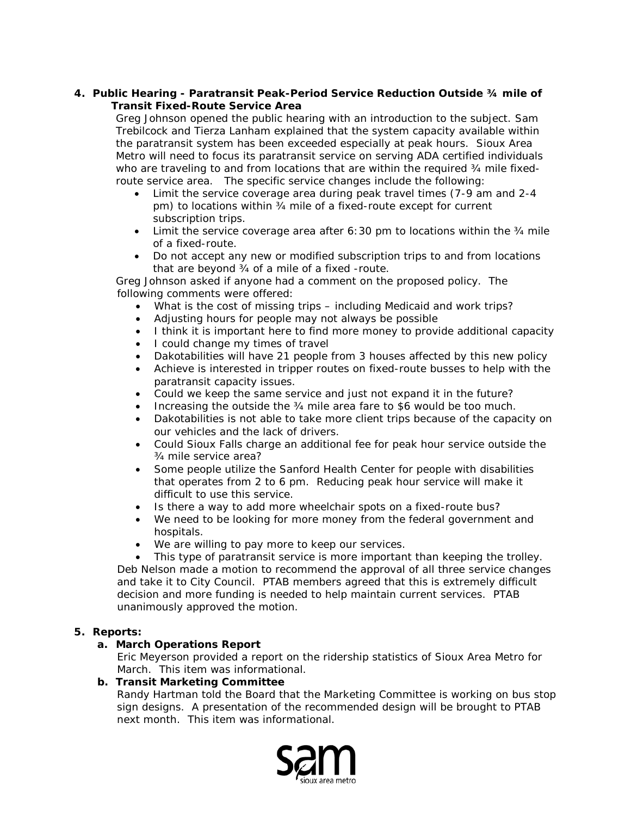### **4. Public Hearing - Paratransit Peak-Period Service Reduction Outside ¾ mile of Transit Fixed-Route Service Area**

Greg Johnson opened the public hearing with an introduction to the subject. Sam Trebilcock and Tierza Lanham explained that the system capacity available within the paratransit system has been exceeded especially at peak hours. Sioux Area Metro will need to focus its paratransit service on serving ADA certified individuals who are traveling to and from locations that are within the required 34 mile fixedroute service area. The specific service changes include the following:

- Limit the service coverage area during peak travel times (7-9 am and 2-4 pm) to locations within ¾ mile of a fixed-route except for current subscription trips.
- Limit the service coverage area after 6:30 pm to locations within the  $\frac{3}{4}$  mile of a fixed-route.
- Do not accept any new or modified subscription trips to and from locations that are beyond ¾ of a mile of a fixed -route.

Greg Johnson asked if anyone had a comment on the proposed policy. The following comments were offered:

- What is the cost of missing trips including Medicaid and work trips?
- Adjusting hours for people may not always be possible
- I think it is important here to find more money to provide additional capacity
- I could change my times of travel
- Dakotabilities will have 21 people from 3 houses affected by this new policy
- Achieve is interested in tripper routes on fixed-route busses to help with the paratransit capacity issues.
- Could we keep the same service and just not expand it in the future?
- Increasing the outside the 34 mile area fare to \$6 would be too much.
- Dakotabilities is not able to take more client trips because of the capacity on our vehicles and the lack of drivers.
- Could Sioux Falls charge an additional fee for peak hour service outside the ¾ mile service area?
- Some people utilize the Sanford Health Center for people with disabilities that operates from 2 to 6 pm. Reducing peak hour service will make it difficult to use this service.
- Is there a way to add more wheelchair spots on a fixed-route bus?
- We need to be looking for more money from the federal government and hospitals.
- We are willing to pay more to keep our services.
- This type of paratransit service is more important than keeping the trolley. Deb Nelson made a motion to recommend the approval of all three service changes and take it to City Council. PTAB members agreed that this is extremely difficult decision and more funding is needed to help maintain current services. PTAB unanimously approved the motion.

### **5. Reports:**

# **a. March Operations Report**

Eric Meyerson provided a report on the ridership statistics of Sioux Area Metro for March. This item was informational.

### **b. Transit Marketing Committee**

Randy Hartman told the Board that the Marketing Committee is working on bus stop sign designs. A presentation of the recommended design will be brought to PTAB next month. This item was informational.